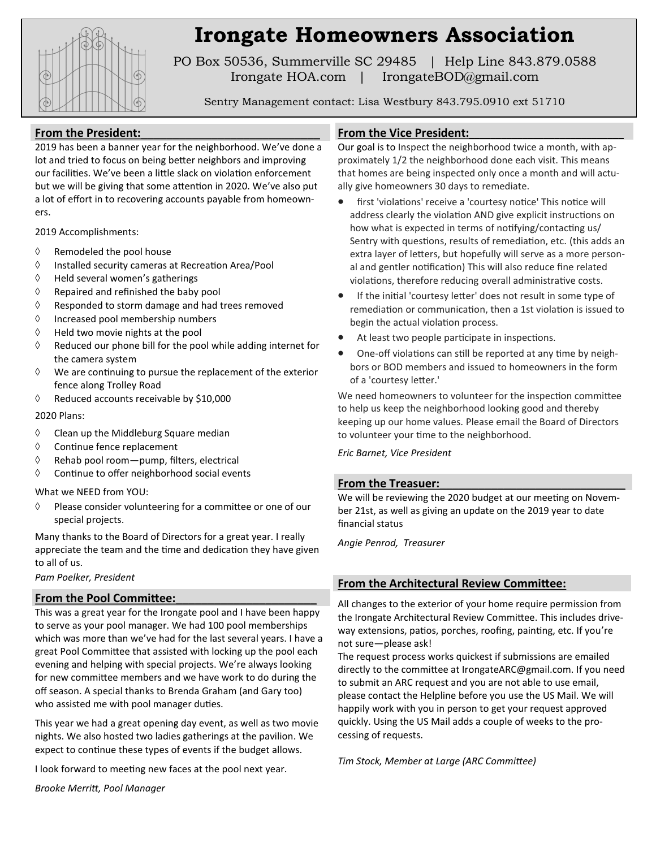

# **Irongate Homeowners Association**

PO Box 50536, Summerville SC 29485 | Help Line 843.879.0588 Irongate HOA.com | IrongateBOD@gmail.com

Sentry Management contact: Lisa Westbury 843.795.0910 ext 51710

#### From the President:

2019 has been a banner year for the neighborhood. We've done a lot and tried to focus on being better neighbors and improving our facilities. We've been a little slack on violation enforcement but we will be giving that some attention in 2020. We've also put a lot of effort in to recovering accounts payable from homeowners.

2019 Accomplishments:

- $\Diamond$  Remodeled the pool house
- $\Diamond$  Installed security cameras at Recreation Area/Pool
- $\Diamond$  Held several women's gatherings
- $\Diamond$  Repaired and refinished the baby pool
- Responded to storm damage and had trees removed
- $\Diamond$  Increased pool membership numbers
- $\Diamond$  Held two movie nights at the pool
- $\Diamond$  Reduced our phone bill for the pool while adding internet for the camera system
- $\Diamond$  We are continuing to pursue the replacement of the exterior fence along Trolley Road
- $\Diamond$  Reduced accounts receivable by \$10,000

#### 2020 Plans:

- $\Diamond$  Clean up the Middleburg Square median
- $\Diamond$  Continue fence replacement
- $\Diamond$  Rehab pool room-pump, filters, electrical
- $\Diamond$  Continue to offer neighborhood social events

What we NEED from YOU:

 $\Diamond$  Please consider volunteering for a committee or one of our special projects.

Many thanks to the Board of Directors for a great year. I really appreciate the team and the time and dedication they have given to all of us.

*Pam Poelker, President*

#### From the Pool Committee:

This was a great year for the Irongate pool and I have been happy to serve as your pool manager. We had 100 pool memberships which was more than we've had for the last several years. I have a great Pool Committee that assisted with locking up the pool each evening and helping with special projects. We're always looking for new committee members and we have work to do during the off season. A special thanks to Brenda Graham (and Gary too) who assisted me with pool manager duties.

This year we had a great opening day event, as well as two movie nights. We also hosted two ladies gatherings at the pavilion. We expect to continue these types of events if the budget allows.

I look forward to meeting new faces at the pool next year.

*Brooke Merritt, Pool Manager*

#### From the Vice President:

Our goal is to Inspect the neighborhood twice a month, with approximately 1/2 the neighborhood done each visit. This means that homes are being inspected only once a month and will actually give homeowners 30 days to remediate.

- first 'violations' receive a 'courtesy notice' This notice will address clearly the violation AND give explicit instructions on how what is expected in terms of notifying/contacting us/ Sentry with questions, results of remediation, etc. (this adds an extra layer of letters, but hopefully will serve as a more personal and gentler notification) This will also reduce fine related violations, therefore reducing overall administrative costs.
- If the initial 'courtesy letter' does not result in some type of remediation or communication, then a 1st violation is issued to begin the actual violation process.
- At least two people participate in inspections.
- One-off violations can still be reported at any time by neighbors or BOD members and issued to homeowners in the form of a 'courtesy letter.'

We need homeowners to volunteer for the inspection committee to help us keep the neighborhood looking good and thereby keeping up our home values. Please email the Board of Directors to volunteer your time to the neighborhood.

#### *Eric Barnet, Vice President*

#### From the Treasuer:

We will be reviewing the 2020 budget at our meeting on November 21st, as well as giving an update on the 2019 year to date financial status

*Angie Penrod, Treasurer*

#### **From the Architectural Review Committee:**

All changes to the exterior of your home require permission from the Irongate Architectural Review Committee. This includes driveway extensions, patios, porches, roofing, painting, etc. If you're not sure—please ask!

The request process works quickest if submissions are emailed directly to the committee at IrongateARC@gmail.com. If you need to submit an ARC request and you are not able to use email, please contact the Helpline before you use the US Mail. We will happily work with you in person to get your request approved quickly. Using the US Mail adds a couple of weeks to the processing of requests.

*Tim Stock, Member at Large (ARC Committee)*